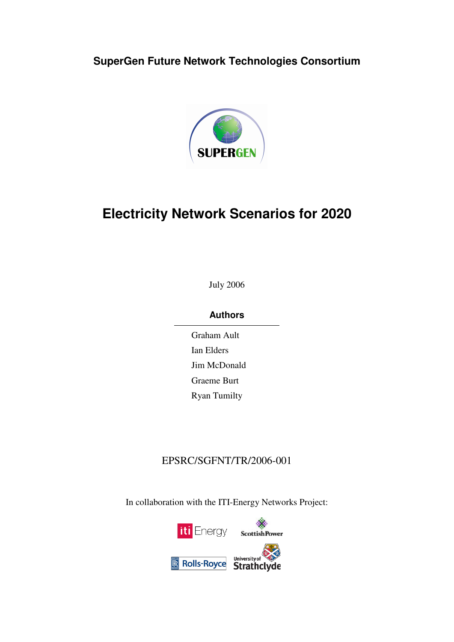## **SuperGen Future Network Technologies Consortium**



# **Electricity Network Scenarios for 2020**

July 2006

### **Authors**

Graham Ault Ian Elders Jim McDonald Graeme Burt Ryan Tumilty

## EPSRC/SGFNT/TR/2006-001

In collaboration with the ITI-Energy Networks Project:

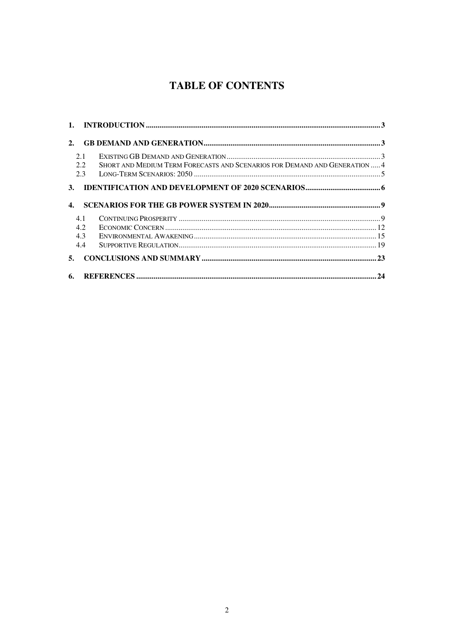## **TABLE OF CONTENTS**

| 2.           |             |                                                                            |  |
|--------------|-------------|----------------------------------------------------------------------------|--|
|              | 2.1         |                                                                            |  |
|              | 2.2.<br>2.3 | SHORT AND MEDIUM TERM FORECASTS AND SCENARIOS FOR DEMAND AND GENERATION  4 |  |
| 3.           |             |                                                                            |  |
| $\mathbf{4}$ |             |                                                                            |  |
|              | 4.1         |                                                                            |  |
|              | 4.2         |                                                                            |  |
|              | 4.3         |                                                                            |  |
|              | 4.4         |                                                                            |  |
| 5.           |             |                                                                            |  |
| 6.           |             |                                                                            |  |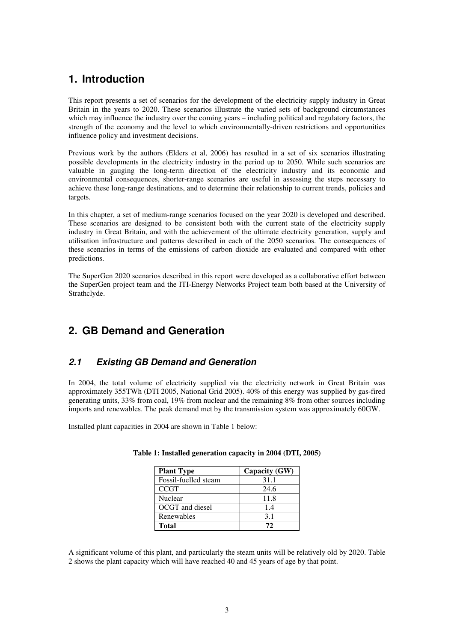## **1. Introduction**

This report presents a set of scenarios for the development of the electricity supply industry in Great Britain in the years to 2020. These scenarios illustrate the varied sets of background circumstances which may influence the industry over the coming years – including political and regulatory factors, the strength of the economy and the level to which environmentally-driven restrictions and opportunities influence policy and investment decisions.

Previous work by the authors (Elders et al, 2006) has resulted in a set of six scenarios illustrating possible developments in the electricity industry in the period up to 2050. While such scenarios are valuable in gauging the long-term direction of the electricity industry and its economic and environmental consequences, shorter-range scenarios are useful in assessing the steps necessary to achieve these long-range destinations, and to determine their relationship to current trends, policies and targets.

In this chapter, a set of medium-range scenarios focused on the year 2020 is developed and described. These scenarios are designed to be consistent both with the current state of the electricity supply industry in Great Britain, and with the achievement of the ultimate electricity generation, supply and utilisation infrastructure and patterns described in each of the 2050 scenarios. The consequences of these scenarios in terms of the emissions of carbon dioxide are evaluated and compared with other predictions.

The SuperGen 2020 scenarios described in this report were developed as a collaborative effort between the SuperGen project team and the ITI-Energy Networks Project team both based at the University of Strathclyde.

## **2. GB Demand and Generation**

#### **2.1 Existing GB Demand and Generation**

In 2004, the total volume of electricity supplied via the electricity network in Great Britain was approximately 355TWh (DTI 2005, National Grid 2005). 40% of this energy was supplied by gas-fired generating units, 33% from coal, 19% from nuclear and the remaining 8% from other sources including imports and renewables. The peak demand met by the transmission system was approximately 60GW.

Installed plant capacities in 2004 are shown in Table 1 below:

| <b>Plant Type</b>    | Capacity (GW) |
|----------------------|---------------|
| Fossil-fuelled steam | 31.1          |
| <b>CCGT</b>          | 24.6          |
| Nuclear              | 11.8          |
| OCGT and diesel      | 1.4           |
| Renewables           | 3.1           |
| <b>Total</b>         | 72            |

| Table 1: Installed generation capacity in 2004 (DTI, 2005) |  |  |  |  |  |
|------------------------------------------------------------|--|--|--|--|--|
|------------------------------------------------------------|--|--|--|--|--|

A significant volume of this plant, and particularly the steam units will be relatively old by 2020. Table 2 shows the plant capacity which will have reached 40 and 45 years of age by that point.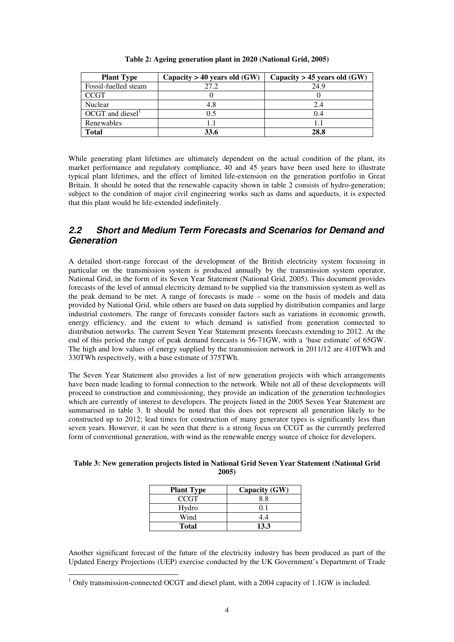| <b>Plant Type</b>              | Capacity $> 40$ years old (GW) | Capacity $> 45$ years old (GW) |
|--------------------------------|--------------------------------|--------------------------------|
| Fossil-fuelled steam           | 27.2                           | 24.9                           |
| <b>CCGT</b>                    |                                |                                |
| Nuclear                        | 4.8                            | 2.4                            |
| $OCGT$ and diesel <sup>1</sup> | 0.5                            | 0.4                            |
| Renewables                     |                                |                                |
| <b>Total</b>                   | 33.6                           | 28.8                           |

**Table 2: Ageing generation plant in 2020 (National Grid, 2005)** 

While generating plant lifetimes are ultimately dependent on the actual condition of the plant, its market performance and regulatory compliance, 40 and 45 years have been used here to illustrate typical plant lifetimes, and the effect of limited life-extension on the generation portfolio in Great Britain. It should be noted that the renewable capacity shown in table 2 consists of hydro-generation; subject to the condition of major civil engineering works such as dams and aqueducts, it is expected that this plant would be life-extended indefinitely.

#### **2.2 Short and Medium Term Forecasts and Scenarios for Demand and Generation**

A detailed short-range forecast of the development of the British electricity system focussing in particular on the transmission system is produced annually by the transmission system operator, National Grid, in the form of its Seven Year Statement (National Grid, 2005). This document provides forecasts of the level of annual electricity demand to be supplied via the transmission system as well as the peak demand to be met. A range of forecasts is made – some on the basis of models and data provided by National Grid, while others are based on data supplied by distribution companies and large industrial customers. The range of forecasts consider factors such as variations in economic growth, energy efficiency, and the extent to which demand is satisfied from generation connected to distribution networks. The current Seven Year Statement presents forecasts extending to 2012. At the end of this period the range of peak demand forecasts is 56-71GW, with a 'base estimate' of 65GW. The high and low values of energy supplied by the transmission network in 2011/12 are 410TWh and 330TWh respectively, with a base estimate of 375TWh.

The Seven Year Statement also provides a list of new generation projects with which arrangements have been made leading to formal connection to the network. While not all of these developments will proceed to construction and commissioning, they provide an indication of the generation technologies which are currently of interest to developers. The projects listed in the 2005 Seven Year Statement are summarised in table 3. It should be noted that this does not represent all generation likely to be constructed up to 2012; lead times for construction of many generator types is significantly less than seven years. However, it can be seen that there is a strong focus on CCGT as the currently preferred form of conventional generation, with wind as the renewable energy source of choice for developers.

| Table 3: New generation projects listed in National Grid Seven Year Statement (National Grid |  |
|----------------------------------------------------------------------------------------------|--|
| 2005)                                                                                        |  |

| <b>Plant Type</b> | Capacity (GW) |
|-------------------|---------------|
| <b>CCGT</b>       | 8.8           |
| Hydro             | 01            |
| Wind              | ł.4           |
| <b>Total</b>      | 13.3          |

Another significant forecast of the future of the electricity industry has been produced as part of the Updated Energy Projections (UEP) exercise conducted by the UK Government's Department of Trade

l

<sup>&</sup>lt;sup>1</sup> Only transmission-connected OCGT and diesel plant, with a 2004 capacity of 1.1GW is included.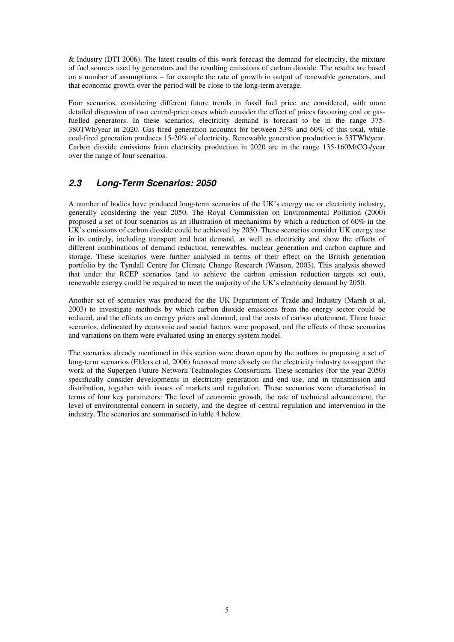& Industry (DTI 2006). The latest results of this work forecast the demand for electricity, the mixture of fuel sources used by generators and the resulting emissions of carbon dioxide. The results are based on a number of assumptions – for example the rate of growth in output of renewable generators, and that economic growth over the period will be close to the long-term average.

Four scenarios, considering different future trends in fossil fuel price are considered, with more detailed discussion of two central-price cases which consider the effect of prices favouring coal or gasfuelled generators. In these scenarios, electricity demand is forecast to be in the range 375-380TWh/year in 2020. Gas fired generation accounts for between 53% and 60% of this total, while coal-fired generation produces 15-20% of electricity. Renewable generation production is 53TWh/year. Carbon dioxide emissions from electricity production in 2020 are in the range 135-160MtCO $\gamma$ year over the range of four scenarios.

#### **2.3 Long-Term Scenarios: 2050**

A number of bodies have produced long-term scenarios of the UK's energy use or electricity industry, generally considering the year 2050. The Royal Commission on Environmental Pollution (2000) proposed a set of four scenarios as an illustration of mechanisms by which a reduction of 60% in the UK's emissions of carbon dioxide could be achieved by 2050. These scenarios consider UK energy use in its entirely, including transport and heat demand, as well as electricity and show the effects of different combinations of demand reduction, renewables, nuclear generation and carbon capture and storage. These scenarios were further analysed in terms of their effect on the British generation portfolio by the Tyndall Centre for Climate Change Research (Watson, 2003). This analysis showed that under the RCEP scenarios (and to achieve the carbon emission reduction targets set out), renewable energy could be required to meet the majority of the UK's electricity demand by 2050.

Another set of scenarios was produced for the UK Department of Trade and Industry (Marsh et al, 2003) to investigate methods by which carbon dioxide emissions from the energy sector could be reduced, and the effects on energy prices and demand, and the costs of carbon abatement. Three basic scenarios, delineated by economic and social factors were proposed, and the effects of these scenarios and variations on them were evaluated using an energy system model.

The scenarios already mentioned in this section were drawn upon by the authors in proposing a set of long-term scenarios (Elders et al, 2006) focussed more closely on the electricity industry to support the work of the Supergen Future Network Technologies Consortium. These scenarios (for the year 2050) specifically consider developments in electricity generation and end use, and in transmission and distribution, together with issues of markets and regulation. These scenarios were characterised in terms of four key parameters: The level of economic growth, the rate of technical advancement, the level of environmental concern in society, and the degree of central regulation and intervention in the industry. The scenarios are summarised in table 4 below.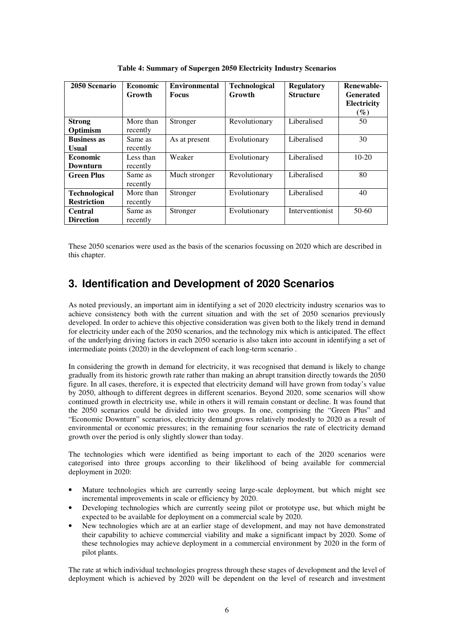| 2050 Scenario                              | <b>Economic</b><br><b>Growth</b> | <b>Environmental</b><br>Focus | <b>Technological</b><br>Growth | <b>Regulatory</b><br><b>Structure</b> | Renewable-<br><b>Generated</b><br><b>Electricity</b><br>$\mathscr{G}_o$ |
|--------------------------------------------|----------------------------------|-------------------------------|--------------------------------|---------------------------------------|-------------------------------------------------------------------------|
| <b>Strong</b><br><b>Optimism</b>           | More than<br>recently            | Stronger                      | Revolutionary                  | Liberalised                           | 50                                                                      |
| <b>Business as</b><br>Usual                | Same as<br>recently              | As at present                 | Evolutionary                   | Liberalised                           | 30                                                                      |
| <b>Economic</b><br>Downturn                | Less than<br>recently            | Weaker                        | Evolutionary                   | Liberalised                           | $10-20$                                                                 |
| <b>Green Plus</b>                          | Same as<br>recently              | Much stronger                 | Revolutionary                  | Liberalised                           | 80                                                                      |
| <b>Technological</b><br><b>Restriction</b> | More than<br>recently            | Stronger                      | Evolutionary                   | Liberalised                           | 40                                                                      |
| <b>Central</b><br><b>Direction</b>         | Same as<br>recently              | Stronger                      | Evolutionary                   | Interventionist                       | 50-60                                                                   |

**Table 4: Summary of Supergen 2050 Electricity Industry Scenarios** 

These 2050 scenarios were used as the basis of the scenarios focussing on 2020 which are described in this chapter.

#### **3. Identification and Development of 2020 Scenarios**

As noted previously, an important aim in identifying a set of 2020 electricity industry scenarios was to achieve consistency both with the current situation and with the set of 2050 scenarios previously developed. In order to achieve this objective consideration was given both to the likely trend in demand for electricity under each of the 2050 scenarios, and the technology mix which is anticipated. The effect of the underlying driving factors in each 2050 scenario is also taken into account in identifying a set of intermediate points (2020) in the development of each long-term scenario .

In considering the growth in demand for electricity, it was recognised that demand is likely to change gradually from its historic growth rate rather than making an abrupt transition directly towards the 2050 figure. In all cases, therefore, it is expected that electricity demand will have grown from today's value by 2050, although to different degrees in different scenarios. Beyond 2020, some scenarios will show continued growth in electricity use, while in others it will remain constant or decline. It was found that the 2050 scenarios could be divided into two groups. In one, comprising the "Green Plus" and "Economic Downturn" scenarios, electricity demand grows relatively modestly to 2020 as a result of environmental or economic pressures; in the remaining four scenarios the rate of electricity demand growth over the period is only slightly slower than today.

The technologies which were identified as being important to each of the 2020 scenarios were categorised into three groups according to their likelihood of being available for commercial deployment in 2020:

- Mature technologies which are currently seeing large-scale deployment, but which might see incremental improvements in scale or efficiency by 2020.
- Developing technologies which are currently seeing pilot or prototype use, but which might be expected to be available for deployment on a commercial scale by 2020.
- New technologies which are at an earlier stage of development, and may not have demonstrated their capability to achieve commercial viability and make a significant impact by 2020. Some of these technologies may achieve deployment in a commercial environment by 2020 in the form of pilot plants.

The rate at which individual technologies progress through these stages of development and the level of deployment which is achieved by 2020 will be dependent on the level of research and investment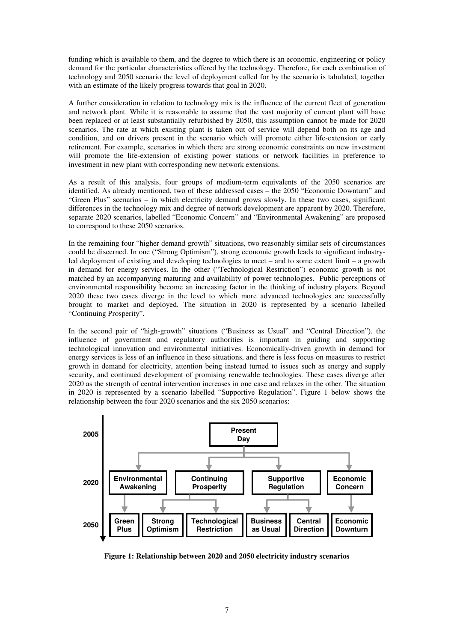funding which is available to them, and the degree to which there is an economic, engineering or policy demand for the particular characteristics offered by the technology. Therefore, for each combination of technology and 2050 scenario the level of deployment called for by the scenario is tabulated, together with an estimate of the likely progress towards that goal in 2020.

A further consideration in relation to technology mix is the influence of the current fleet of generation and network plant. While it is reasonable to assume that the vast majority of current plant will have been replaced or at least substantially refurbished by 2050, this assumption cannot be made for 2020 scenarios. The rate at which existing plant is taken out of service will depend both on its age and condition, and on drivers present in the scenario which will promote either life-extension or early retirement. For example, scenarios in which there are strong economic constraints on new investment will promote the life-extension of existing power stations or network facilities in preference to investment in new plant with corresponding new network extensions.

As a result of this analysis, four groups of medium-term equivalents of the 2050 scenarios are identified. As already mentioned, two of these addressed cases – the 2050 "Economic Downturn" and "Green Plus" scenarios – in which electricity demand grows slowly. In these two cases, significant differences in the technology mix and degree of network development are apparent by 2020. Therefore, separate 2020 scenarios, labelled "Economic Concern" and "Environmental Awakening" are proposed to correspond to these 2050 scenarios.

In the remaining four "higher demand growth" situations, two reasonably similar sets of circumstances could be discerned. In one ("Strong Optimism"), strong economic growth leads to significant industryled deployment of existing and developing technologies to meet – and to some extent limit – a growth in demand for energy services. In the other ("Technological Restriction") economic growth is not matched by an accompanying maturing and availability of power technologies. Public perceptions of environmental responsibility become an increasing factor in the thinking of industry players. Beyond 2020 these two cases diverge in the level to which more advanced technologies are successfully brought to market and deployed. The situation in 2020 is represented by a scenario labelled "Continuing Prosperity".

In the second pair of "high-growth" situations ("Business as Usual" and "Central Direction"), the influence of government and regulatory authorities is important in guiding and supporting technological innovation and environmental initiatives. Economically-driven growth in demand for energy services is less of an influence in these situations, and there is less focus on measures to restrict growth in demand for electricity, attention being instead turned to issues such as energy and supply security, and continued development of promising renewable technologies. These cases diverge after 2020 as the strength of central intervention increases in one case and relaxes in the other. The situation in 2020 is represented by a scenario labelled "Supportive Regulation". Figure 1 below shows the relationship between the four 2020 scenarios and the six 2050 scenarios:



**Figure 1: Relationship between 2020 and 2050 electricity industry scenarios**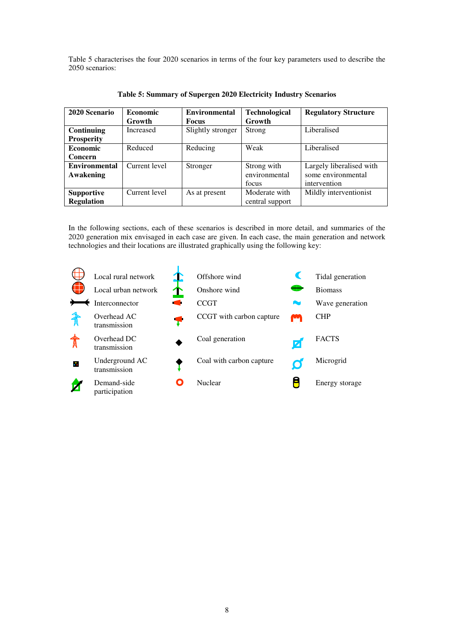Table 5 characterises the four 2020 scenarios in terms of the four key parameters used to describe the 2050 scenarios:

| 2020 Scenario        | <b>Economic</b> | <b>Environmental</b> | <b>Technological</b> | <b>Regulatory Structure</b> |
|----------------------|-----------------|----------------------|----------------------|-----------------------------|
|                      | <b>Growth</b>   | <b>Focus</b>         | Growth               |                             |
| Continuing           | Increased       | Slightly stronger    | Strong               | Liberalised                 |
| <b>Prosperity</b>    |                 |                      |                      |                             |
| <b>Economic</b>      | Reduced         | Reducing             | Weak                 | Liberalised                 |
| <b>Concern</b>       |                 |                      |                      |                             |
| <b>Environmental</b> | Current level   | Stronger             | Strong with          | Largely liberalised with    |
| Awakening            |                 |                      | environmental        | some environmental          |
|                      |                 |                      | focus                | intervention                |
| <b>Supportive</b>    | Current level   | As at present        | Moderate with        | Mildly interventionist      |
| <b>Regulation</b>    |                 |                      | central support      |                             |

**Table 5: Summary of Supergen 2020 Electricity Industry Scenarios** 

In the following sections, each of these scenarios is described in more detail, and summaries of the 2020 generation mix envisaged in each case are given. In each case, the main generation and network technologies and their locations are illustrated graphically using the following key:

|                | Local rural network            | Offshore wind            |           | Tidal generation |
|----------------|--------------------------------|--------------------------|-----------|------------------|
|                | Local urban network            | Onshore wind             |           | <b>Biomass</b>   |
|                | Interconnector                 | <b>CCGT</b>              |           | Wave generation  |
|                | Overhead AC<br>transmission    | CCGT with carbon capture | <b>HH</b> | <b>CHP</b>       |
| t              | Overhead DC<br>transmission    | Coal generation          |           | <b>FACTS</b>     |
| $\ddot{\cdot}$ | Underground AC<br>transmission | Coal with carbon capture |           | Microgrid        |
|                | Demand-side<br>participation   | Nuclear                  |           | Energy storage   |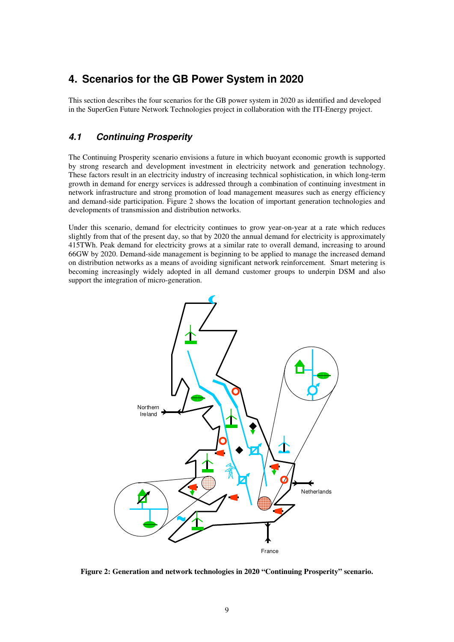## **4. Scenarios for the GB Power System in 2020**

This section describes the four scenarios for the GB power system in 2020 as identified and developed in the SuperGen Future Network Technologies project in collaboration with the ITI-Energy project.

#### **4.1 Continuing Prosperity**

The Continuing Prosperity scenario envisions a future in which buoyant economic growth is supported by strong research and development investment in electricity network and generation technology. These factors result in an electricity industry of increasing technical sophistication, in which long-term growth in demand for energy services is addressed through a combination of continuing investment in network infrastructure and strong promotion of load management measures such as energy efficiency and demand-side participation. Figure 2 shows the location of important generation technologies and developments of transmission and distribution networks.

Under this scenario, demand for electricity continues to grow year-on-year at a rate which reduces slightly from that of the present day, so that by 2020 the annual demand for electricity is approximately 415TWh. Peak demand for electricity grows at a similar rate to overall demand, increasing to around 66GW by 2020. Demand-side management is beginning to be applied to manage the increased demand on distribution networks as a means of avoiding significant network reinforcement. Smart metering is becoming increasingly widely adopted in all demand customer groups to underpin DSM and also support the integration of micro-generation.



**Figure 2: Generation and network technologies in 2020 "Continuing Prosperity" scenario.**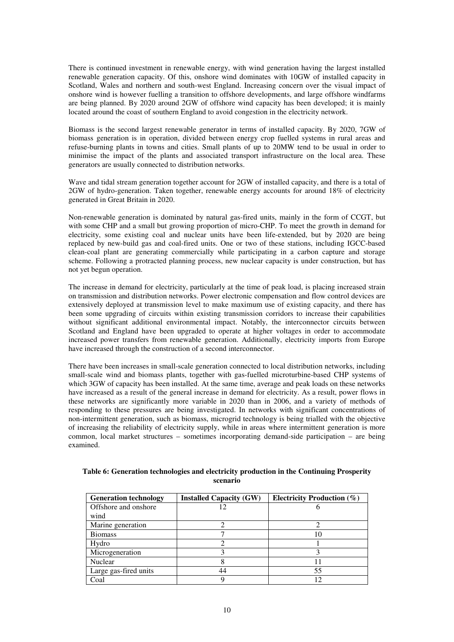There is continued investment in renewable energy, with wind generation having the largest installed renewable generation capacity. Of this, onshore wind dominates with 10GW of installed capacity in Scotland, Wales and northern and south-west England. Increasing concern over the visual impact of onshore wind is however fuelling a transition to offshore developments, and large offshore windfarms are being planned. By 2020 around 2GW of offshore wind capacity has been developed; it is mainly located around the coast of southern England to avoid congestion in the electricity network.

Biomass is the second largest renewable generator in terms of installed capacity. By 2020, 7GW of biomass generation is in operation, divided between energy crop fuelled systems in rural areas and refuse-burning plants in towns and cities. Small plants of up to 20MW tend to be usual in order to minimise the impact of the plants and associated transport infrastructure on the local area. These generators are usually connected to distribution networks.

Wave and tidal stream generation together account for 2GW of installed capacity, and there is a total of 2GW of hydro-generation. Taken together, renewable energy accounts for around 18% of electricity generated in Great Britain in 2020.

Non-renewable generation is dominated by natural gas-fired units, mainly in the form of CCGT, but with some CHP and a small but growing proportion of micro-CHP. To meet the growth in demand for electricity, some existing coal and nuclear units have been life-extended, but by 2020 are being replaced by new-build gas and coal-fired units. One or two of these stations, including IGCC-based clean-coal plant are generating commercially while participating in a carbon capture and storage scheme. Following a protracted planning process, new nuclear capacity is under construction, but has not yet begun operation.

The increase in demand for electricity, particularly at the time of peak load, is placing increased strain on transmission and distribution networks. Power electronic compensation and flow control devices are extensively deployed at transmission level to make maximum use of existing capacity, and there has been some upgrading of circuits within existing transmission corridors to increase their capabilities without significant additional environmental impact. Notably, the interconnector circuits between Scotland and England have been upgraded to operate at higher voltages in order to accommodate increased power transfers from renewable generation. Additionally, electricity imports from Europe have increased through the construction of a second interconnector.

There have been increases in small-scale generation connected to local distribution networks, including small-scale wind and biomass plants, together with gas-fuelled microturbine-based CHP systems of which 3GW of capacity has been installed. At the same time, average and peak loads on these networks have increased as a result of the general increase in demand for electricity. As a result, power flows in these networks are significantly more variable in 2020 than in 2006, and a variety of methods of responding to these pressures are being investigated. In networks with significant concentrations of non-intermittent generation, such as biomass, microgrid technology is being trialled with the objective of increasing the reliability of electricity supply, while in areas where intermittent generation is more common, local market structures – sometimes incorporating demand-side participation – are being examined.

| <b>Generation technology</b> | <b>Installed Capacity (GW)</b> | <b>Electricity Production (%)</b> |
|------------------------------|--------------------------------|-----------------------------------|
| Offshore and onshore         |                                |                                   |
| wind                         |                                |                                   |
| Marine generation            |                                |                                   |
| <b>Biomass</b>               |                                |                                   |
| Hydro                        |                                |                                   |
| Microgeneration              |                                |                                   |
| Nuclear                      |                                |                                   |
| Large gas-fired units        | 44                             | 55                                |
| Coal                         |                                |                                   |

**Table 6: Generation technologies and electricity production in the Continuing Prosperity scenario**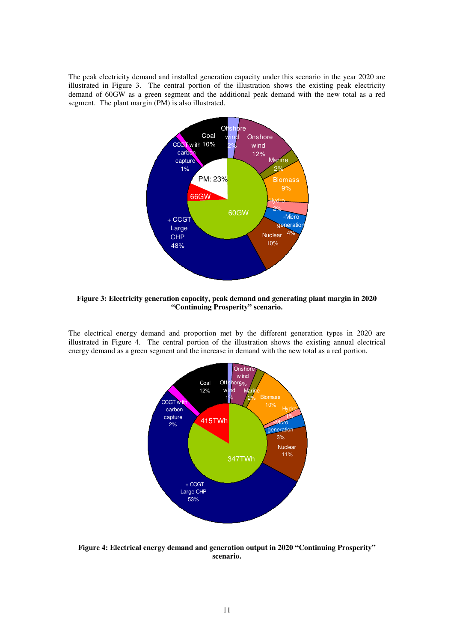The peak electricity demand and installed generation capacity under this scenario in the year 2020 are illustrated in Figure 3. The central portion of the illustration shows the existing peak electricity demand of 60GW as a green segment and the additional peak demand with the new total as a red segment. The plant margin (PM) is also illustrated.



**Figure 3: Electricity generation capacity, peak demand and generating plant margin in 2020 "Continuing Prosperity" scenario.** 

The electrical energy demand and proportion met by the different generation types in 2020 are illustrated in Figure 4. The central portion of the illustration shows the existing annual electrical energy demand as a green segment and the increase in demand with the new total as a red portion.



**Figure 4: Electrical energy demand and generation output in 2020 "Continuing Prosperity" scenario.**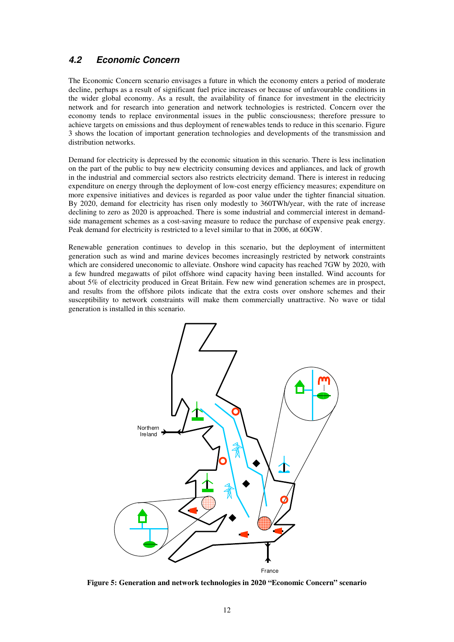#### **4.2 Economic Concern**

The Economic Concern scenario envisages a future in which the economy enters a period of moderate decline, perhaps as a result of significant fuel price increases or because of unfavourable conditions in the wider global economy. As a result, the availability of finance for investment in the electricity network and for research into generation and network technologies is restricted. Concern over the economy tends to replace environmental issues in the public consciousness; therefore pressure to achieve targets on emissions and thus deployment of renewables tends to reduce in this scenario. Figure 3 shows the location of important generation technologies and developments of the transmission and distribution networks.

Demand for electricity is depressed by the economic situation in this scenario. There is less inclination on the part of the public to buy new electricity consuming devices and appliances, and lack of growth in the industrial and commercial sectors also restricts electricity demand. There is interest in reducing expenditure on energy through the deployment of low-cost energy efficiency measures; expenditure on more expensive initiatives and devices is regarded as poor value under the tighter financial situation. By 2020, demand for electricity has risen only modestly to 360TWh/year, with the rate of increase declining to zero as 2020 is approached. There is some industrial and commercial interest in demandside management schemes as a cost-saving measure to reduce the purchase of expensive peak energy. Peak demand for electricity is restricted to a level similar to that in 2006, at 60GW.

Renewable generation continues to develop in this scenario, but the deployment of intermittent generation such as wind and marine devices becomes increasingly restricted by network constraints which are considered uneconomic to alleviate. Onshore wind capacity has reached 7GW by 2020, with a few hundred megawatts of pilot offshore wind capacity having been installed. Wind accounts for about 5% of electricity produced in Great Britain. Few new wind generation schemes are in prospect, and results from the offshore pilots indicate that the extra costs over onshore schemes and their susceptibility to network constraints will make them commercially unattractive. No wave or tidal generation is installed in this scenario.



**Figure 5: Generation and network technologies in 2020 "Economic Concern" scenario**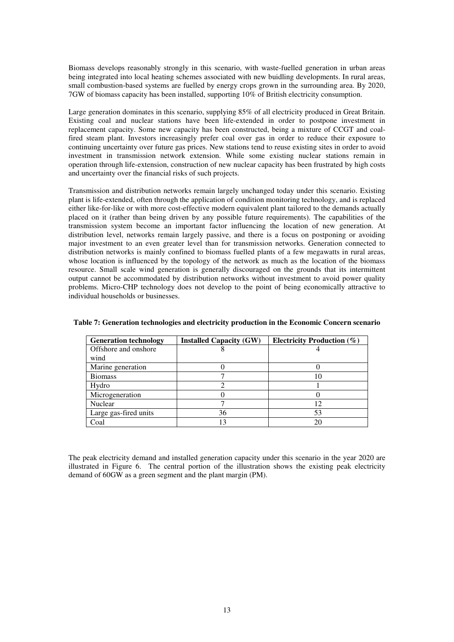Biomass develops reasonably strongly in this scenario, with waste-fuelled generation in urban areas being integrated into local heating schemes associated with new buidling developments. In rural areas, small combustion-based systems are fuelled by energy crops grown in the surrounding area. By 2020, 7GW of biomass capacity has been installed, supporting 10% of British electricity consumption.

Large generation dominates in this scenario, supplying 85% of all electricity produced in Great Britain. Existing coal and nuclear stations have been life-extended in order to postpone investment in replacement capacity. Some new capacity has been constructed, being a mixture of CCGT and coalfired steam plant. Investors increasingly prefer coal over gas in order to reduce their exposure to continuing uncertainty over future gas prices. New stations tend to reuse existing sites in order to avoid investment in transmission network extension. While some existing nuclear stations remain in operation through life-extension, construction of new nuclear capacity has been frustrated by high costs and uncertainty over the financial risks of such projects.

Transmission and distribution networks remain largely unchanged today under this scenario. Existing plant is life-extended, often through the application of condition monitoring technology, and is replaced either like-for-like or with more cost-effective modern equivalent plant tailored to the demands actually placed on it (rather than being driven by any possible future requirements). The capabilities of the transmission system become an important factor influencing the location of new generation. At distribution level, networks remain largely passive, and there is a focus on postponing or avoiding major investment to an even greater level than for transmission networks. Generation connected to distribution networks is mainly confined to biomass fuelled plants of a few megawatts in rural areas, whose location is influenced by the topology of the network as much as the location of the biomass resource. Small scale wind generation is generally discouraged on the grounds that its intermittent output cannot be accommodated by distribution networks without investment to avoid power quality problems. Micro-CHP technology does not develop to the point of being economically attractive to individual households or businesses.

| <b>Generation technology</b> | <b>Installed Capacity (GW)</b> | <b>Electricity Production (%)</b> |
|------------------------------|--------------------------------|-----------------------------------|
| Offshore and onshore         |                                |                                   |
| wind                         |                                |                                   |
| Marine generation            |                                |                                   |
| <b>Biomass</b>               |                                | 10                                |
| Hydro                        |                                |                                   |
| Microgeneration              |                                |                                   |
| Nuclear                      |                                | 12                                |
| Large gas-fired units        | 36                             | 53                                |
| Coal                         | 13                             | 20                                |

**Table 7: Generation technologies and electricity production in the Economic Concern scenario** 

The peak electricity demand and installed generation capacity under this scenario in the year 2020 are illustrated in Figure 6. The central portion of the illustration shows the existing peak electricity demand of 60GW as a green segment and the plant margin (PM).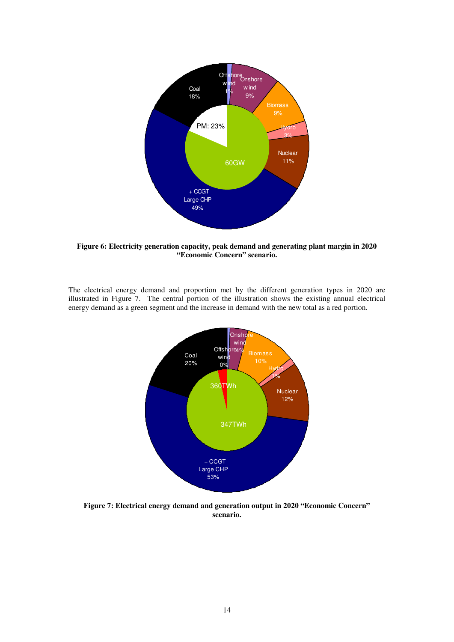

**Figure 6: Electricity generation capacity, peak demand and generating plant margin in 2020 "Economic Concern" scenario.** 

The electrical energy demand and proportion met by the different generation types in 2020 are illustrated in Figure 7. The central portion of the illustration shows the existing annual electrical energy demand as a green segment and the increase in demand with the new total as a red portion.



**Figure 7: Electrical energy demand and generation output in 2020 "Economic Concern" scenario.**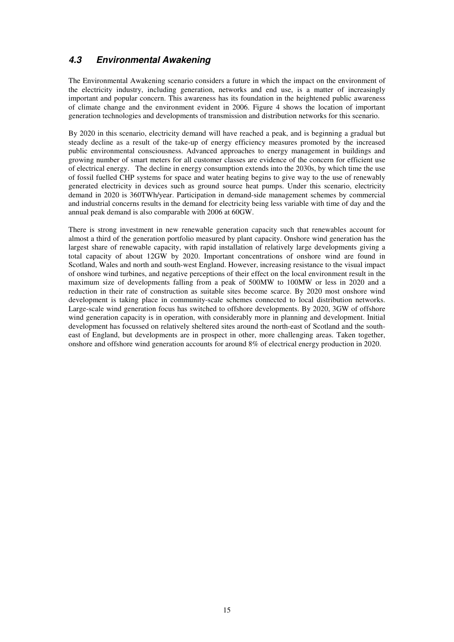#### **4.3 Environmental Awakening**

The Environmental Awakening scenario considers a future in which the impact on the environment of the electricity industry, including generation, networks and end use, is a matter of increasingly important and popular concern. This awareness has its foundation in the heightened public awareness of climate change and the environment evident in 2006. Figure 4 shows the location of important generation technologies and developments of transmission and distribution networks for this scenario.

By 2020 in this scenario, electricity demand will have reached a peak, and is beginning a gradual but steady decline as a result of the take-up of energy efficiency measures promoted by the increased public environmental consciousness. Advanced approaches to energy management in buildings and growing number of smart meters for all customer classes are evidence of the concern for efficient use of electrical energy. The decline in energy consumption extends into the 2030s, by which time the use of fossil fuelled CHP systems for space and water heating begins to give way to the use of renewably generated electricity in devices such as ground source heat pumps. Under this scenario, electricity demand in 2020 is 360TWh/year. Participation in demand-side management schemes by commercial and industrial concerns results in the demand for electricity being less variable with time of day and the annual peak demand is also comparable with 2006 at 60GW.

There is strong investment in new renewable generation capacity such that renewables account for almost a third of the generation portfolio measured by plant capacity. Onshore wind generation has the largest share of renewable capacity, with rapid installation of relatively large developments giving a total capacity of about 12GW by 2020. Important concentrations of onshore wind are found in Scotland, Wales and north and south-west England. However, increasing resistance to the visual impact of onshore wind turbines, and negative perceptions of their effect on the local environment result in the maximum size of developments falling from a peak of 500MW to 100MW or less in 2020 and a reduction in their rate of construction as suitable sites become scarce. By 2020 most onshore wind development is taking place in community-scale schemes connected to local distribution networks. Large-scale wind generation focus has switched to offshore developments. By 2020, 3GW of offshore wind generation capacity is in operation, with considerably more in planning and development. Initial development has focussed on relatively sheltered sites around the north-east of Scotland and the southeast of England, but developments are in prospect in other, more challenging areas. Taken together, onshore and offshore wind generation accounts for around 8% of electrical energy production in 2020.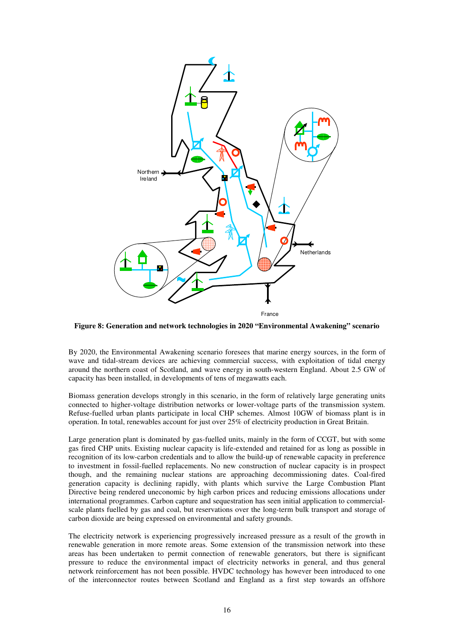

**Figure 8: Generation and network technologies in 2020 "Environmental Awakening" scenario** 

By 2020, the Environmental Awakening scenario foresees that marine energy sources, in the form of wave and tidal-stream devices are achieving commercial success, with exploitation of tidal energy around the northern coast of Scotland, and wave energy in south-western England. About 2.5 GW of capacity has been installed, in developments of tens of megawatts each.

Biomass generation develops strongly in this scenario, in the form of relatively large generating units connected to higher-voltage distribution networks or lower-voltage parts of the transmission system. Refuse-fuelled urban plants participate in local CHP schemes. Almost 10GW of biomass plant is in operation. In total, renewables account for just over 25% of electricity production in Great Britain.

Large generation plant is dominated by gas-fuelled units, mainly in the form of CCGT, but with some gas fired CHP units. Existing nuclear capacity is life-extended and retained for as long as possible in recognition of its low-carbon credentials and to allow the build-up of renewable capacity in preference to investment in fossil-fuelled replacements. No new construction of nuclear capacity is in prospect though, and the remaining nuclear stations are approaching decommissioning dates. Coal-fired generation capacity is declining rapidly, with plants which survive the Large Combustion Plant Directive being rendered uneconomic by high carbon prices and reducing emissions allocations under international programmes. Carbon capture and sequestration has seen initial application to commercialscale plants fuelled by gas and coal, but reservations over the long-term bulk transport and storage of carbon dioxide are being expressed on environmental and safety grounds.

The electricity network is experiencing progressively increased pressure as a result of the growth in renewable generation in more remote areas. Some extension of the transmission network into these areas has been undertaken to permit connection of renewable generators, but there is significant pressure to reduce the environmental impact of electricity networks in general, and thus general network reinforcement has not been possible. HVDC technology has however been introduced to one of the interconnector routes between Scotland and England as a first step towards an offshore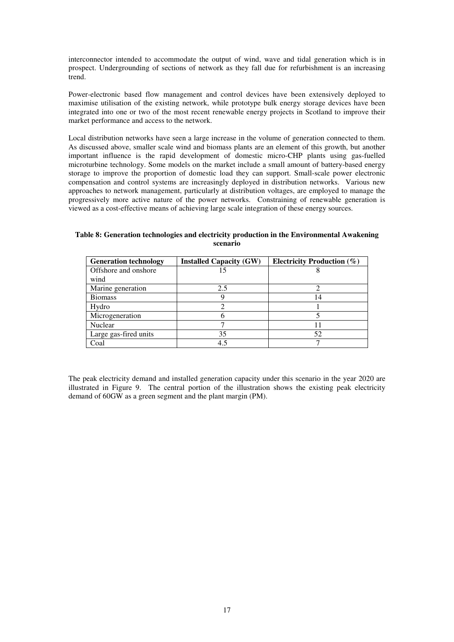interconnector intended to accommodate the output of wind, wave and tidal generation which is in prospect. Undergrounding of sections of network as they fall due for refurbishment is an increasing trend.

Power-electronic based flow management and control devices have been extensively deployed to maximise utilisation of the existing network, while prototype bulk energy storage devices have been integrated into one or two of the most recent renewable energy projects in Scotland to improve their market performance and access to the network.

Local distribution networks have seen a large increase in the volume of generation connected to them. As discussed above, smaller scale wind and biomass plants are an element of this growth, but another important influence is the rapid development of domestic micro-CHP plants using gas-fuelled microturbine technology. Some models on the market include a small amount of battery-based energy storage to improve the proportion of domestic load they can support. Small-scale power electronic compensation and control systems are increasingly deployed in distribution networks. Various new approaches to network management, particularly at distribution voltages, are employed to manage the progressively more active nature of the power networks. Constraining of renewable generation is viewed as a cost-effective means of achieving large scale integration of these energy sources.

| <b>Generation technology</b> | <b>Installed Capacity (GW)</b> | <b>Electricity Production (%)</b> |
|------------------------------|--------------------------------|-----------------------------------|
| Offshore and onshore         |                                |                                   |
| wind                         |                                |                                   |
| Marine generation            | 2.5                            |                                   |
| <b>Biomass</b>               |                                |                                   |
| Hydro                        |                                |                                   |
| Microgeneration              |                                |                                   |
| Nuclear                      |                                |                                   |
| Large gas-fired units        | 35                             | 52                                |
| Coal                         | 4.5                            |                                   |

**Table 8: Generation technologies and electricity production in the Environmental Awakening scenario** 

The peak electricity demand and installed generation capacity under this scenario in the year 2020 are illustrated in Figure 9. The central portion of the illustration shows the existing peak electricity demand of 60GW as a green segment and the plant margin (PM).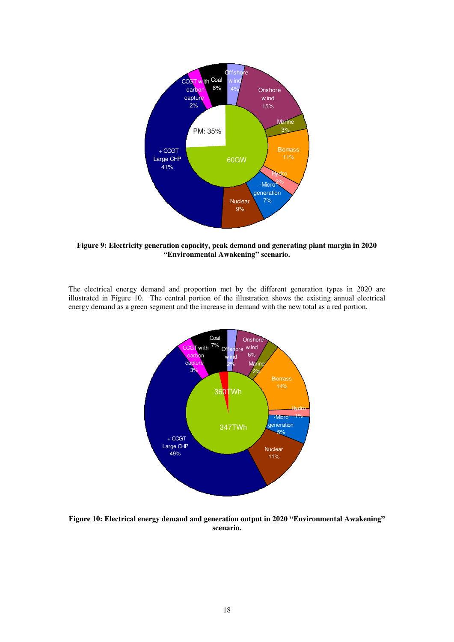

**Figure 9: Electricity generation capacity, peak demand and generating plant margin in 2020 "Environmental Awakening" scenario.** 

The electrical energy demand and proportion met by the different generation types in 2020 are illustrated in Figure 10. The central portion of the illustration shows the existing annual electrical energy demand as a green segment and the increase in demand with the new total as a red portion.



**Figure 10: Electrical energy demand and generation output in 2020 "Environmental Awakening" scenario.**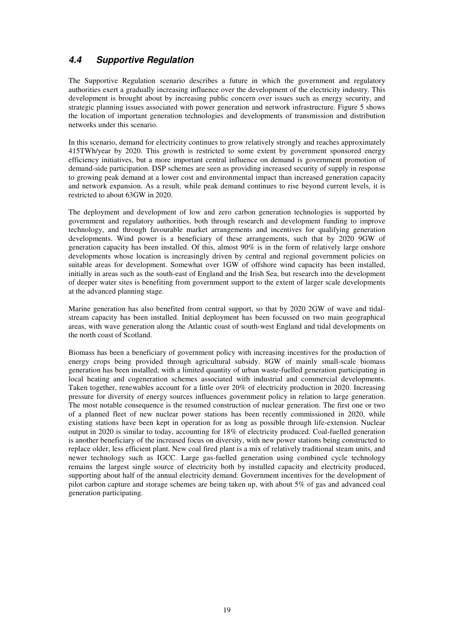#### **4.4 Supportive Regulation**

The Supportive Regulation scenario describes a future in which the government and regulatory authorities exert a gradually increasing influence over the development of the electricity industry. This development is brought about by increasing public concern over issues such as energy security, and strategic planning issues associated with power generation and network infrastructure. Figure 5 shows the location of important generation technologies and developments of transmission and distribution networks under this scenario.

In this scenario, demand for electricity continues to grow relatively strongly and reaches approximately 415TWh/year by 2020. This growth is restricted to some extent by government sponsored energy efficiency initiatives, but a more important central influence on demand is government promotion of demand-side participation. DSP schemes are seen as providing increased security of supply in response to growing peak demand at a lower cost and environmental impact than increased generation capacity and network expansion. As a result, while peak demand continues to rise beyond current levels, it is restricted to about 63GW in 2020.

The deployment and development of low and zero carbon generation technologies is supported by government and regulatory authorities, both through research and development funding to improve technology, and through favourable market arrangements and incentives for qualifying generation developments. Wind power is a beneficiary of these arrangements, such that by 2020 9GW of generation capacity has been installed. Of this, almost 90% is in the form of relatively large onshore developments whose location is increasingly driven by central and regional government policies on suitable areas for development. Somewhat over 1GW of offshore wind capacity has been installed, initially in areas such as the south-east of England and the Irish Sea, but research into the development of deeper water sites is benefiting from government support to the extent of larger scale developments at the advanced planning stage.

Marine generation has also benefited from central support, so that by 2020 2GW of wave and tidalstream capacity has been installed. Initial deployment has been focussed on two main geographical areas, with wave generation along the Atlantic coast of south-west England and tidal developments on the north coast of Scotland.

Biomass has been a beneficiary of government policy with increasing incentives for the production of energy crops being provided through agricultural subsidy. 8GW of mainly small-scale biomass generation has been installed, with a limited quantity of urban waste-fuelled generation participating in local heating and cogeneration schemes associated with industrial and commercial developments. Taken together, renewables account for a little over 20% of electricity production in 2020. Increasing pressure for diversity of energy sources influences government policy in relation to large generation. The most notable consequence is the resumed construction of nuclear generation. The first one or two of a planned fleet of new nuclear power stations has been recently commissioned in 2020, while existing stations have been kept in operation for as long as possible through life-extension. Nuclear output in 2020 is similar to today, accounting for 18% of electricity produced. Coal-fuelled generation is another beneficiary of the increased focus on diversity, with new power stations being constructed to replace older, less efficient plant. New coal fired plant is a mix of relatively traditional steam units, and newer technology such as IGCC. Large gas-fuelled generation using combined cycle technology remains the largest single source of electricity both by installed capacity and electricity produced, supporting about half of the annual electricity demand. Government incentives for the development of pilot carbon capture and storage schemes are being taken up, with about 5% of gas and advanced coal generation participating.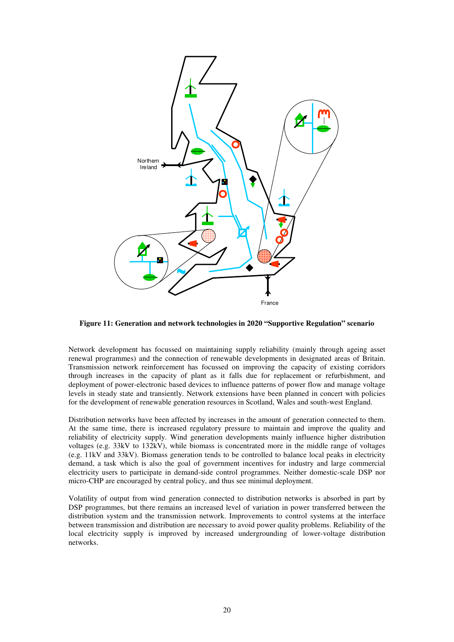

**Figure 11: Generation and network technologies in 2020 "Supportive Regulation" scenario** 

Network development has focussed on maintaining supply reliability (mainly through ageing asset renewal programmes) and the connection of renewable developments in designated areas of Britain. Transmission network reinforcement has focussed on improving the capacity of existing corridors through increases in the capacity of plant as it falls due for replacement or refurbishment, and deployment of power-electronic based devices to influence patterns of power flow and manage voltage levels in steady state and transiently. Network extensions have been planned in concert with policies for the development of renewable generation resources in Scotland, Wales and south-west England.

Distribution networks have been affected by increases in the amount of generation connected to them. At the same time, there is increased regulatory pressure to maintain and improve the quality and reliability of electricity supply. Wind generation developments mainly influence higher distribution voltages (e.g. 33kV to 132kV), while biomass is concentrated more in the middle range of voltages (e.g. 11kV and 33kV). Biomass generation tends to be controlled to balance local peaks in electricity demand, a task which is also the goal of government incentives for industry and large commercial electricity users to participate in demand-side control programmes. Neither domestic-scale DSP nor micro-CHP are encouraged by central policy, and thus see minimal deployment.

Volatility of output from wind generation connected to distribution networks is absorbed in part by DSP programmes, but there remains an increased level of variation in power transferred between the distribution system and the transmission network. Improvements to control systems at the interface between transmission and distribution are necessary to avoid power quality problems. Reliability of the local electricity supply is improved by increased undergrounding of lower-voltage distribution networks.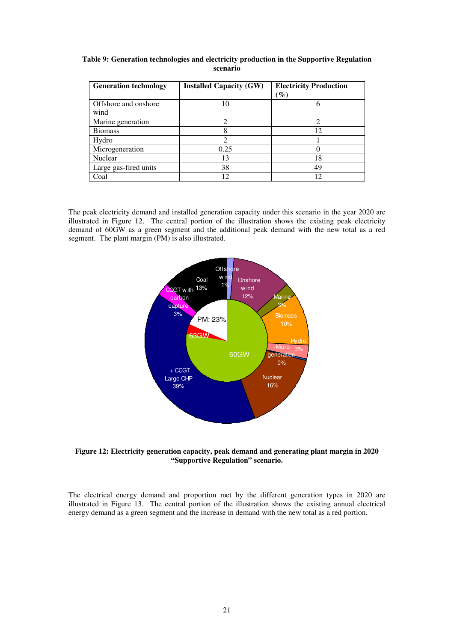| <b>Generation technology</b> | <b>Installed Capacity (GW)</b> | <b>Electricity Production</b><br>$\mathscr{G}_o$ |
|------------------------------|--------------------------------|--------------------------------------------------|
| Offshore and onshore<br>wind | 10                             |                                                  |
| Marine generation            |                                |                                                  |
| <b>Biomass</b>               |                                | 12                                               |
| Hydro                        |                                |                                                  |
| Microgeneration              | 0.25                           |                                                  |
| Nuclear                      | 13                             | 18                                               |
| Large gas-fired units        | 38                             | 49                                               |
| Coal                         |                                | 12                                               |

**Table 9: Generation technologies and electricity production in the Supportive Regulation scenario** 

The peak electricity demand and installed generation capacity under this scenario in the year 2020 are illustrated in Figure 12. The central portion of the illustration shows the existing peak electricity demand of 60GW as a green segment and the additional peak demand with the new total as a red segment. The plant margin (PM) is also illustrated.



**Figure 12: Electricity generation capacity, peak demand and generating plant margin in 2020 "Supportive Regulation" scenario.** 

The electrical energy demand and proportion met by the different generation types in 2020 are illustrated in Figure 13. The central portion of the illustration shows the existing annual electrical energy demand as a green segment and the increase in demand with the new total as a red portion.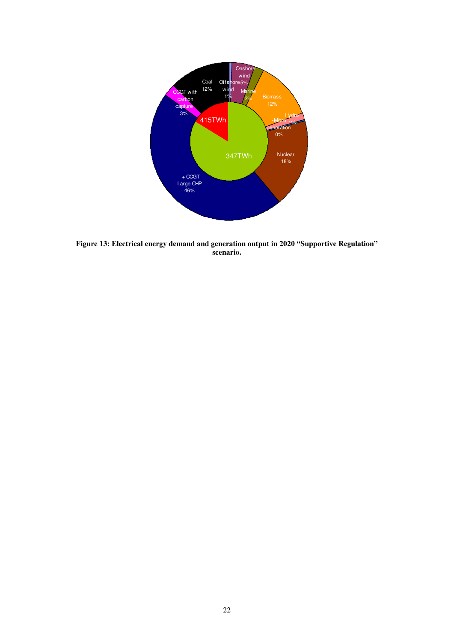

**Figure 13: Electrical energy demand and generation output in 2020 "Supportive Regulation" scenario.**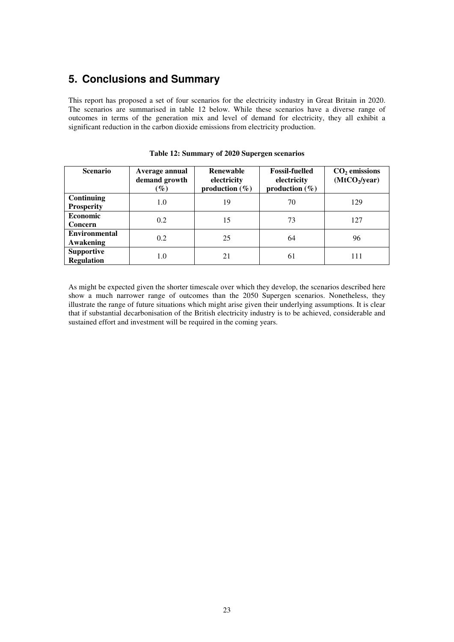## **5. Conclusions and Summary**

This report has proposed a set of four scenarios for the electricity industry in Great Britain in 2020. The scenarios are summarised in table 12 below. While these scenarios have a diverse range of outcomes in terms of the generation mix and level of demand for electricity, they all exhibit a significant reduction in the carbon dioxide emissions from electricity production.

| <b>Scenario</b>                        | Average annual<br>demand growth<br>$(\%)$ | <b>Renewable</b><br>electricity<br>production $(\%)$ | <b>Fossil-fuelled</b><br>electricity<br>production $(\% )$ | $CO2$ emissions<br>(MtCO <sub>2</sub> /year) |
|----------------------------------------|-------------------------------------------|------------------------------------------------------|------------------------------------------------------------|----------------------------------------------|
| Continuing<br><b>Prosperity</b>        | 1.0                                       | 19                                                   | 70                                                         | 129                                          |
| <b>Economic</b><br><b>Concern</b>      | 0.2                                       | 15                                                   | 73                                                         | 127                                          |
| <b>Environmental</b><br>Awakening      | 0.2                                       | 25                                                   | 64                                                         | 96                                           |
| <b>Supportive</b><br><b>Regulation</b> | 1.0                                       | 21                                                   | 61                                                         | 111                                          |

**Table 12: Summary of 2020 Supergen scenarios**

As might be expected given the shorter timescale over which they develop, the scenarios described here show a much narrower range of outcomes than the 2050 Supergen scenarios. Nonetheless, they illustrate the range of future situations which might arise given their underlying assumptions. It is clear that if substantial decarbonisation of the British electricity industry is to be achieved, considerable and sustained effort and investment will be required in the coming years.